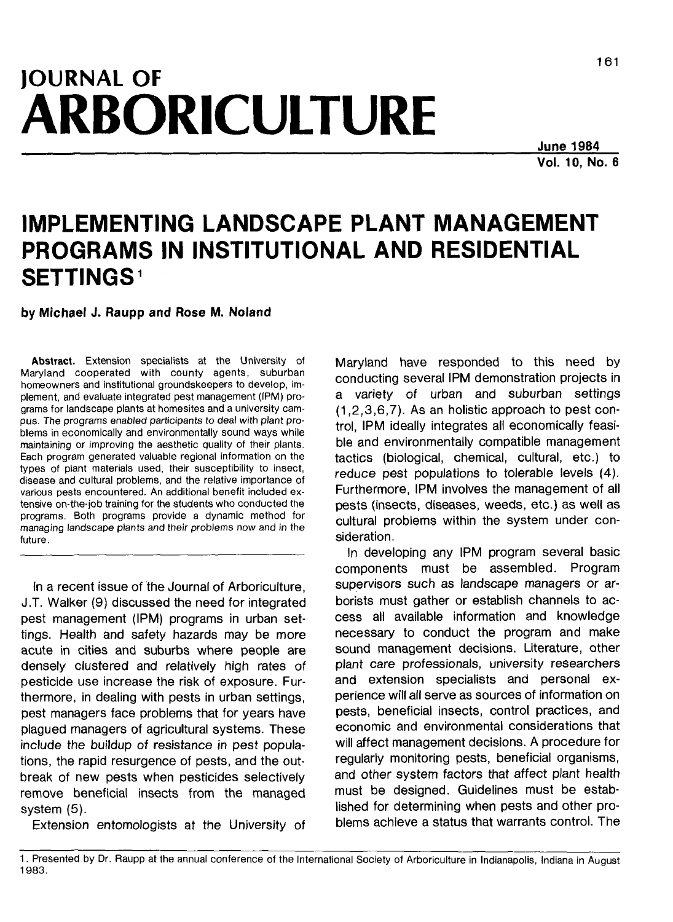# **JOURNAL OF ARBORICULTURE**

**June 1984 Vol. 10, No. 6**

# **IMPLEMENTING LANDSCAPE PLANT MANAGEMENT PROGRAMS IN INSTITUTIONAL AND RESIDENTIAL SETTINGS<sup>1</sup>**

**by Michael J. Raupp and Rose M. Noland**

**Abstract.** Extension specialists at the University of Maryland cooperated with county agents, suburban homeowners and institutional groundskeepers to develop, implement, and evaluate integrated pest management (IPM) programs for landscape plants at homesites and a university campus. The programs enabled participants to deal with plant problems in economically and environmentally sound ways while maintaining or improving the aesthetic quality of their plants. Each program generated valuable regional information on the types of plant materials used, their susceptibility to insect, disease and cultural problems, and the relative importance of various pests encountered. An additional benefit included extensive on-the-job training for the students who conducted the programs. Both programs provide a dynamic method for managing landscape plants and their problems now and in the future.

In a recent issue of the Journal of Arboriculture, J.T. Walker (9) discussed the need for integrated pest management (IPM) programs in urban settings. Health and safety hazards may be more acute in cities and suburbs where people are densely clustered and relatively high rates of pesticide use increase the risk of exposure. Furthermore, in dealing with pests in urban settings, pest managers face problems that for years have plagued managers of agricultural systems. These include the buildup of resistance in pest populations, the rapid resurgence of pests, and the outbreak of new pests when pesticides selectively remove beneficial insects from the managed system (5).

Extension entomologists at the University of

Maryland have responded to this need by conducting several IPM demonstration projects in a variety of urban and suburban settings (1,2,3,6,7). As an holistic approach to pest control, IPM ideally integrates all economically feasible and environmentally compatible management tactics (biological, chemical, cultural, etc.) to reduce pest populations to tolerable levels (4). Furthermore, IPM involves the management of all pests (insects, diseases, weeds, etc.) as well as cultural problems within the system under consideration.

In developing any IPM program several basic components must be assembled. Program supervisors such as landscape managers or arborists must gather or establish channels to access all available information and knowledge necessary to conduct the program and make sound management decisions. Literature, other plant care professionals, university researchers and extension specialists and personal experience will all serve as sources of information on pests, beneficial insects, control practices, and economic and environmental considerations that will affect management decisions. A procedure for regularly monitoring pests, beneficial organisms, and other system factors that affect plant health must be designed. Guidelines must be established for determining when pests and other problems achieve a status that warrants control. The

<sup>1.</sup> Presented by Dr. Raupp at the annual conference of the International Society of Arboriculture in Indianapolis, Indiana in August 1983.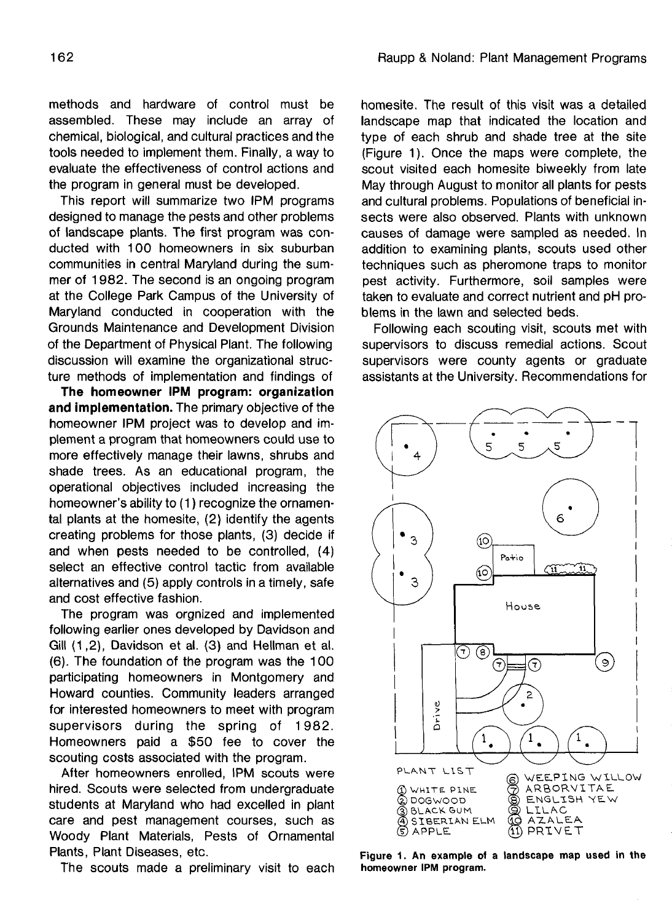methods and hardware of control must be assembled. These may include an array of chemical, biological, and cultural practices and the tools needed to implement them. Finally, a way to evaluate the effectiveness of control actions and the program in general must be developed.

This report will summarize two IPM programs designed to manage the pests and other problems of landscape plants. The first program was conducted with 100 homeowners in six suburban communities in central Maryland during the summer of 1982. The second is an ongoing program at the College Park Campus of the University of Maryland conducted in cooperation with the Grounds Maintenance and Development Division of the Department of Physical Plant. The following discussion will examine the organizational structure methods of implementation and findings of

**The homeowner IPM program: organization and implementation.** The primary objective of the homeowner IPM project was to develop and implement a program that homeowners could use to more effectively manage their lawns, shrubs and shade trees. As an educational program, the operational objectives included increasing the homeowner's ability to (1) recognize the ornamental plants at the homesite, (2) identify the agents creating problems for those plants, (3) decide if and when pests needed to be controlled, (4) select an effective control tactic from available alternatives and (5) apply controls in a timely, safe and cost effective fashion.

The program was orgnized and implemented following earlier ones developed by Davidson and Gill (1,2), Davidson et al. (3) and Hellman et al. (6). The foundation of the program was the 100 participating homeowners in Montgomery and Howard counties. Community leaders arranged for interested homeowners to meet with program supervisors during the spring of 1982. Homeowners paid a \$50 fee to cover the scouting costs associated with the program.

After homeowners enrolled, IPM scouts were hired. Scouts were selected from undergraduate students at Maryland who had excelled in plant care and pest management courses, such as Woody Plant Materials, Pests of Ornamental Plants, Plant Diseases, etc.

The scouts made a preliminary visit to each

homesite. The result of this visit was a detailed landscape map that indicated the location and type of each shrub and shade tree at the site (Figure 1). Once the maps were complete, the scout visited each homesite biweekly from late May through August to monitor all plants for pests and cultural problems. Populations of beneficial insects were also observed. Plants with unknown causes of damage were sampled as needed. In addition to examining plants, scouts used other techniques such as pheromone traps to monitor pest activity. Furthermore, soil samples were taken to evaluate and correct nutrient and pH problems in the lawn and selected beds.

Following each scouting visit, scouts met with supervisors to discuss remedial actions. Scout supervisors were county agents or graduate assistants at the University. Recommendations for



**Figure 1. An example oi a landscape map used in the homeowner IPM program.**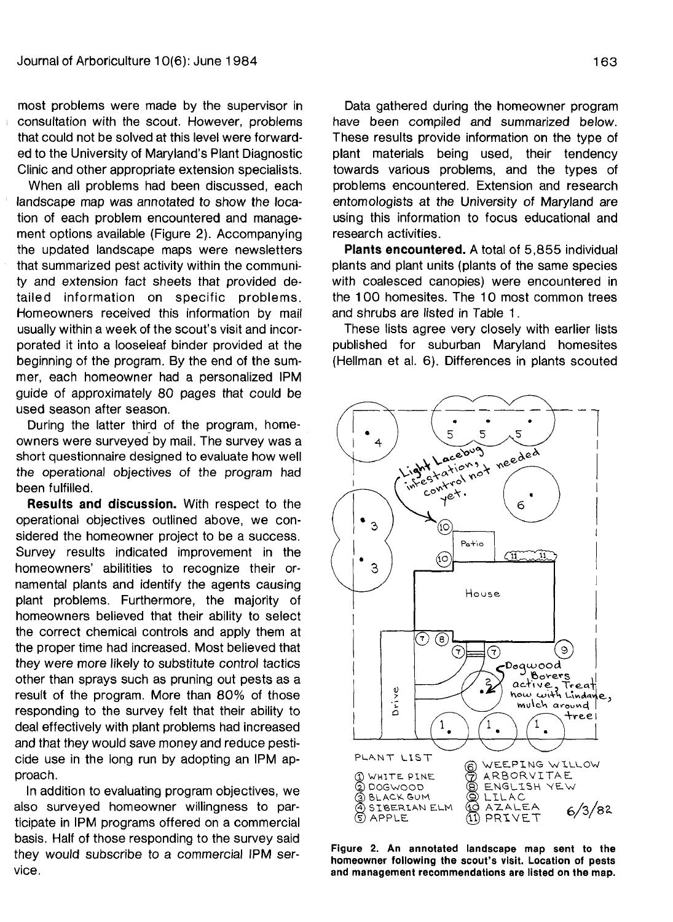most problems were made by the supervisor in consultation with the scout. However, problems that could not be solved at this level were forwarded to the University of Maryland's Plant Diagnostic Clinic and other appropriate extension specialists.

When all problems had been discussed, each landscape map was annotated to show the location of each problem encountered and management options available (Figure 2). Accompanying the updated landscape maps were newsletters that summarized pest activity within the community and extension fact sheets that provided detailed information on specific problems. Homeowners received this information by mail usually within a week of the scout's visit and incorporated it into a looseleaf binder provided at the beginning of the program. By the end of the summer, each homeowner had a personalized IPM guide of approximately 80 pages that could be used season after season.

During the latter third of the program, homeowners were surveyed by mail. The survey was a short questionnaire designed to evaluate how well the operational objectives of the program had been fulfilled.

**Results and discussion.** With respect to the operational objectives outlined above, we considered the homeowner project to be a success. Survey results indicated improvement in the homeowners' abilitities to recognize their ornamental plants and identify the agents causing plant problems. Furthermore, the majority of homeowners believed that their ability to select the correct chemical controls and apply them at the proper time had increased. Most believed that they were more likely to substitute control tactics other than sprays such as pruning out pests as a result of the program. More than 80% of those responding to the survey felt that their ability to deal effectively with plant problems had increased and that they would save money and reduce pesticide use in the long run by adopting an IPM approach.

In addition to evaluating program objectives, we also surveyed homeowner willingness to participate in IPM programs offered on a commercial basis. Half of those responding to the survey said they would subscribe to a commercial IPM service.

Data gathered during the homeowner program have been compiled and summarized below. These results provide information on the type of plant materials being used, their tendency towards various problems, and the types of problems encountered. Extension and research entomologists at the University of Maryland are using this information to focus educational and research activities.

**Plants encountered.** A total of 5,855 individual plants and plant units (plants of the same species with coalesced canopies) were encountered in the 100 homesites. The 10 most common trees and shrubs are listed in Table 1.

These lists agree very closely with earlier lists published for suburban Maryland homesites (Hellman et al. 6). Differences in plants scouted



**Figure 2. An annotated landscape map sent to the homeowner following the scout's visit. Location of pests and management recommendations are listed on the map.**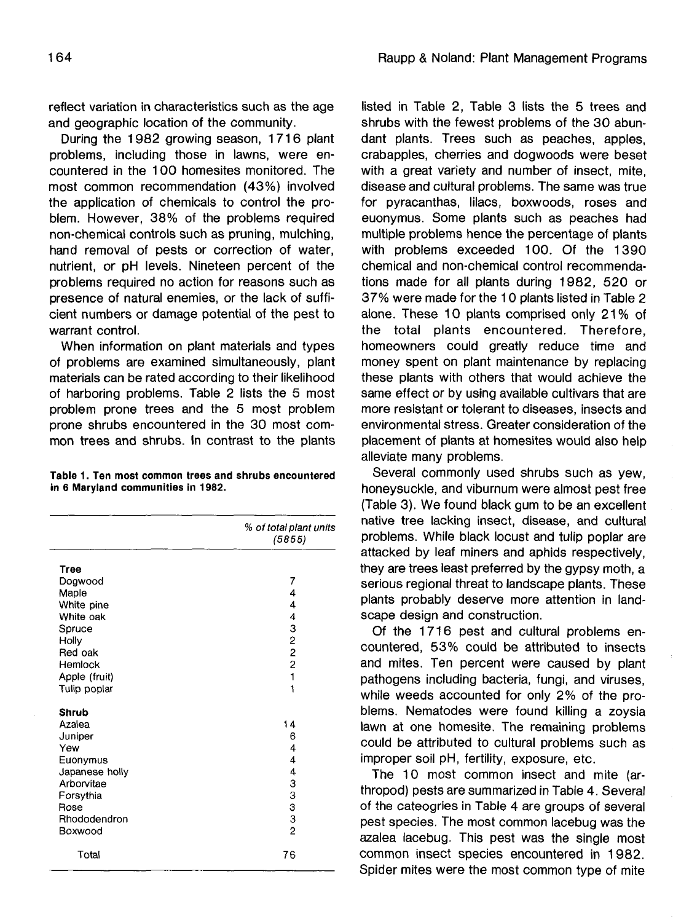reflect variation in characteristics such as the age and geographic location of the community.

During the 1982 growing season, 1716 plant problems, including those in lawns, were encountered in the 100 homesites monitored. The most common recommendation (43%) involved the application of chemicals to control the problem. However, 38% of the problems required non-chemical controls such as pruning, mulching, hand removal of pests or correction of water, nutrient, or pH levels. Nineteen percent of the problems required no action for reasons such as presence of natural enemies, or the lack of sufficient numbers or damage potential of the pest to warrant control.

When information on plant materials and types of problems are examined simultaneously, plant materials can be rated according to their likelihood of harboring problems. Table 2 lists the 5 most problem prone trees and the 5 most problem prone shrubs encountered in the 30 most common trees and shrubs. In contrast to the plants

#### **Table 1. Ten most common trees and shrubs encountered in 6 Maryland communities in 1982.**

|                | % of total plant units<br>(5855)                |
|----------------|-------------------------------------------------|
| Tree           |                                                 |
| Dogwood        | 7                                               |
| Maple          | 4                                               |
| White pine     | 4                                               |
| White oak      |                                                 |
| Spruce         |                                                 |
| Holly          | $\begin{array}{c}\n4 \\ 3 \\ 2\n\end{array}$    |
| Red oak        |                                                 |
| Hemlock        | $\overline{c}$                                  |
| Apple (fruit)  | $\mathbf{1}$                                    |
| Tulip poplar   | 1                                               |
| Shrub          |                                                 |
| Azalea         | 14                                              |
| Juniper        | 6                                               |
| Yew            | 4                                               |
| Euonymus       | 4                                               |
| Japanese holly |                                                 |
| Arborvitae     | $\begin{array}{c} 4 \\ 3 \\ 3 \\ 3 \end{array}$ |
| Forsythia      |                                                 |
| Rose           |                                                 |
| Rhododendron   | 3                                               |
| Boxwood        | $\overline{2}$                                  |
| Total          | 76                                              |

listed in Table 2, Table 3 lists the 5 trees and shrubs with the fewest problems of the 30 abundant plants. Trees such as peaches, apples, crabapples, cherries and dogwoods were beset with a great variety and number of insect, mite, disease and cultural problems. The same was true for pyracanthas, lilacs, boxwoods, roses and euonymus. Some plants such as peaches had multiple problems hence the percentage of plants with problems exceeded 100. Of the 1390 chemical and non-chemical control recommendations made for all plants during 1982, 520 or 37% were made for the 10 plants listed in Table 2 alone. These 10 plants comprised only 21% of the total plants encountered. Therefore, homeowners could greatly reduce time and money spent on plant maintenance by replacing these plants with others that would achieve the same effect or by using available cultivars that are more resistant or tolerant to diseases, insects and environmental stress. Greater consideration of the placement of plants at homesites would also help alleviate many problems.

Several commonly used shrubs such as yew, honeysuckle, and viburnum were almost pest free (Table 3). We found black gum to be an excellent native tree lacking insect, disease, and cultural problems. While black locust and tulip poplar are attacked by leaf miners and aphids respectively, they are trees least preferred by the gypsy moth, a serious regional threat to landscape plants. These plants probably deserve more attention in landscape design and construction.

Of the 1716 pest and cultural problems encountered, 53% could be attributed to insects and mites. Ten percent were caused by plant pathogens including bacteria, fungi, and viruses, while weeds accounted for only 2% of the problems. Nematodes were found killing a zoysia lawn at one homesite. The remaining problems could be attributed to cultural problems such as improper soil pH, fertility, exposure, etc.

The 10 most common insect and mite (arthropod) pests are summarized in Table 4. Several of the cateogries in Table 4 are groups of several pest species. The most common lacebug was the azalea lacebug. This pest was the single most common insect species encountered in 1982. Spider mites were the most common type of mite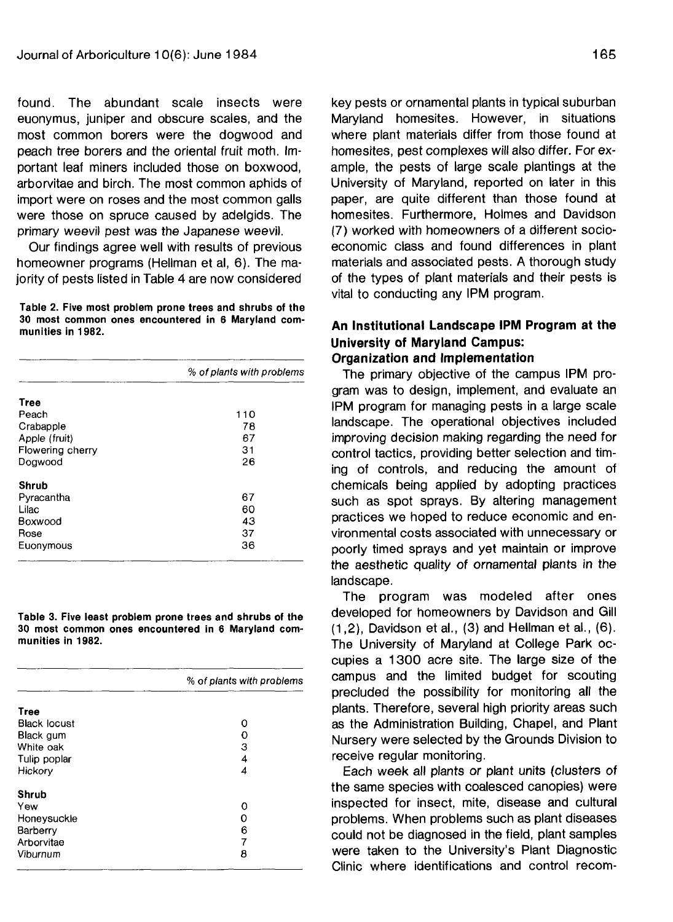found. The abundant scale insects were euonymus, juniper and obscure scales, and the most common borers were the dogwood and peach tree borers and the oriental fruit moth. Important leaf miners included those on boxwood, arborvitae and birch. The most common aphids of import were on roses and the most common galls were those on spruce caused by adelgids. The primary weevil pest was the Japanese weevil.

Our findings agree well with results of previous homeowner programs (Hellman et al, 6). The majority of pests listed in Table 4 are now considered

**Table 2. Five most problem prone trees and shrubs of the 30 most common ones encountered in 6 Maryland communities in 1982.**

|                  | % of plants with problems |  |
|------------------|---------------------------|--|
| Tree             |                           |  |
| Peach            | 110                       |  |
| Crabapple        | 78                        |  |
| Apple (fruit)    | 67                        |  |
| Flowering cherry | 31                        |  |
| Dogwood          | 26                        |  |
| Shrub            |                           |  |
| Pyracantha       | 67                        |  |
| Lilac            | 60                        |  |
| Boxwood          | 43                        |  |
| Rose             | 37                        |  |
| Euonymous        | 36                        |  |

**Table 3. Five least problem prone trees and shrubs of the 30 most common ones encountered in 6 Maryland communities in 1982.**

|                     | % of plants with problems |
|---------------------|---------------------------|
| <b>Tree</b>         |                           |
| <b>Black locust</b> | Ω                         |
| Black gum           | o                         |
| White oak           | з                         |
| Tulip poplar        | 4                         |
| Hickory             | 4                         |
| Shrub               |                           |
| Yew                 | Ω                         |
| Honeysuckle         | Ω                         |
| Barberry            | 6                         |
| Arborvitae          | 7                         |
| Viburnum            | 8                         |

key pests or ornamental plants in typical suburban Maryland homesites. However, in situations where plant materials differ from those found at homesites, pest complexes will also differ. For example, the pests of large scale plantings at the University of Maryland, reported on later in this paper, are quite different than those found at homesites. Furthermore, Holmes and Davidson (7) worked with homeowners of a different socioeconomic class and found differences in plant materials and associated pests. A thorough study of the types of plant materials and their pests is vital to conducting any IPM program.

# **An Institutional Landscape IPM Program at the University of Maryland Campus: Organization and Implementation**

The primary objective of the campus IPM program was to design, implement, and evaluate an IPM program for managing pests in a large scale landscape. The operational objectives included improving decision making regarding the need for control tactics, providing better selection and timing of controls, and reducing the amount of chemicals being applied by adopting practices such as spot sprays. By altering management practices we hoped to reduce economic and environmental costs associated with unnecessary or poorly timed sprays and yet maintain or improve the aesthetic quality of ornamental plants in the landscape.

The program was modeled after ones developed for homeowners by Davidson and Gill (1,2), Davidson et al., (3) and Hellman et al., (6). The University of Maryland at College Park occupies a 1300 acre site. The large size of the campus and the limited budget for scouting precluded the possibility for monitoring all the plants. Therefore, several high priority areas such as the Administration Building, Chapel, and Plant Nursery were selected by the Grounds Division to receive regular monitoring.

Each week all plants or plant units (clusters of the same species with coalesced canopies) were inspected for insect, mite, disease and cultural problems. When problems such as plant diseases could not be diagnosed in the field, plant samples were taken to the University's Plant Diagnostic Clinic where identifications and control recom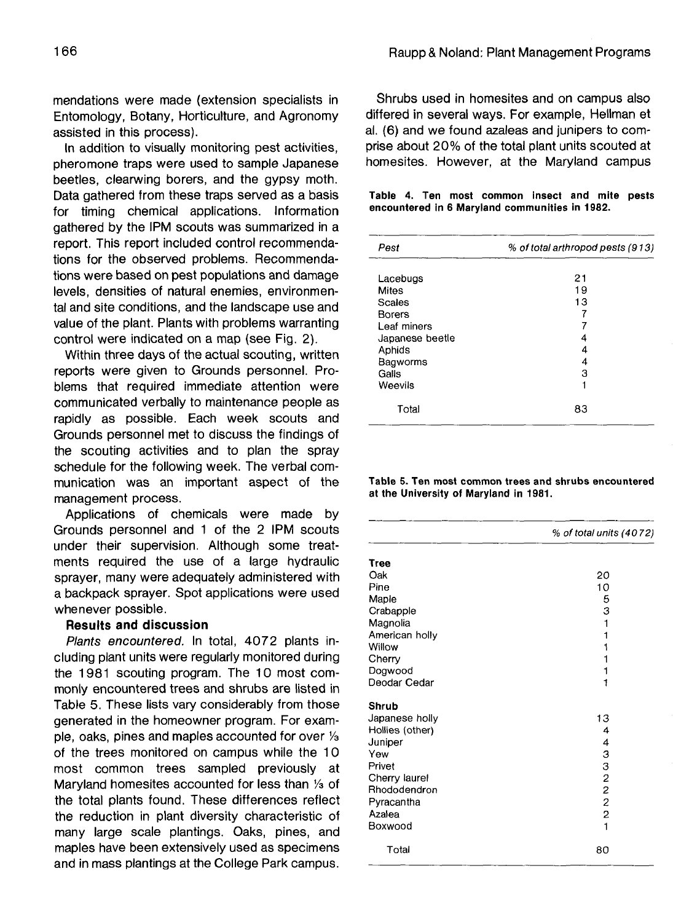mendations were made (extension specialists in Entomology, Botany, Horticulture, and Agronomy assisted in this process).

In addition to visually monitoring pest activities, pheromone traps were used to sample Japanese beetles, clearwing borers, and the gypsy moth. Data gathered from these traps served as a basis for timing chemical applications. Information gathered by the IPM scouts was summarized in a report. This report included control recommendations for the observed problems. Recommendations were based on pest populations and damage levels, densities of natural enemies, environmental and site conditions, and the landscape use and value of the plant. Plants with problems warranting control were indicated on a map (see Fig. 2).

Within three days of the actual scouting, written reports were given to Grounds personnel. Problems that required immediate attention were communicated verbally to maintenance people as rapidly as possible. Each week scouts and Grounds personnel met to discuss the findings of the scouting activities and to plan the spray schedule for the following week. The verbal communication was an important aspect of the management process.

Applications of chemicals were made by Grounds personnel and 1 of the 2 IPM scouts under their supervision. Although some treatments required the use of a large hydraulic sprayer, many were adequately administered with a backpack sprayer. Spot applications were used whenever possible.

### **Results and discussion**

Plants encountered. In total, 4072 plants including plant units were regularly monitored during the 1981 scouting program. The 10 most commonly encountered trees and shrubs are listed in Table 5. These lists vary considerably from those generated in the homeowner program. For example, oaks, pines and maples accounted for over  $\frac{1}{3}$ of the trees monitored on campus while the 10 most common trees sampled previously at Maryland homesites accounted for less than <sup>1</sup>/3 of the total plants found. These differences reflect the reduction in plant diversity characteristic of many large scale plantings. Oaks, pines, and maples have been extensively used as specimens and in mass plantings at the College Park campus.

Shrubs used in homesites and on campus also differed in several ways. For example, Hellman et al. (6) and we found azaleas and junipers to comprise about 20% of the total plant units scouted at homesites. However, at the Maryland campus

#### **Table 4. Ten most common insect and mite pests encountered in 6 Maryland communities in 1982.**

| Pest            | % of total arthropod pests (913) |  |
|-----------------|----------------------------------|--|
| Lacebugs        | 21                               |  |
| Mites           | 19                               |  |
| Scales          | 13                               |  |
| <b>Borers</b>   |                                  |  |
| Leaf miners     |                                  |  |
| Japanese beetle | 4                                |  |
| Aphids          | 4                                |  |
| Bagworms        | 4                                |  |
| Galls           | З                                |  |
| Weevils         |                                  |  |
| Total           | 83                               |  |

#### **Table 5. Ten most common trees and shrubs encountered at the University of Maryland in 1981.**

|                 | % of total units (4072) |  |
|-----------------|-------------------------|--|
| Tree            |                         |  |
| Oak             | 20                      |  |
| Pine            | 10                      |  |
| Maple           | 5                       |  |
| Crabapple       | 3                       |  |
| Magnolia        | 1                       |  |
| American holly  | 1                       |  |
| Willow          |                         |  |
| Cherry          |                         |  |
| Dogwood         |                         |  |
| Deodar Cedar    | 1                       |  |
| Shrub           |                         |  |
| Japanese holly  | 13                      |  |
| Hollies (other) | 4                       |  |
| Juniper         | 4                       |  |
| Yew             | 3                       |  |
| Privet          | 3                       |  |
| Cherry laurel   | $\overline{\mathbf{c}}$ |  |
| Rhododendron    | 2                       |  |
| Pyracantha      | $\overline{c}$          |  |
| Azalea          | $\overline{c}$          |  |
| Boxwood         | 1                       |  |
| Total           | 80                      |  |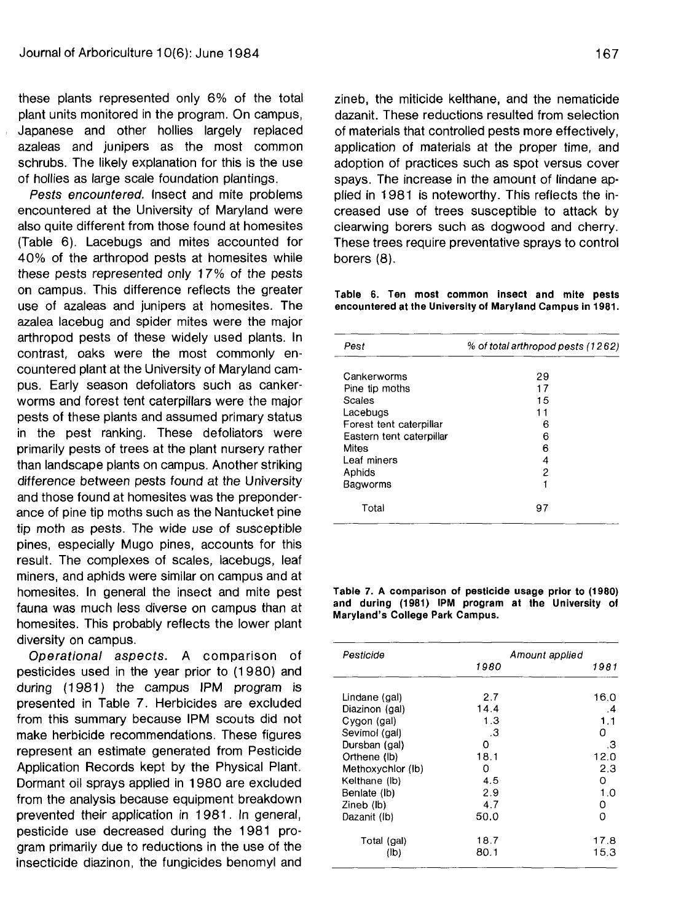these plants represented only 6% of the total plant units monitored in the program. On campus, Japanese and other hollies largely replaced azaleas and junipers as the most common schrubs. The likely explanation for this is the use of hollies as large scale foundation plantings.

Pests encountered. Insect and mite problems encountered at the University of Maryland were also quite different from those found at homesites (Table 6). Lacebugs and mites accounted for 40% of the arthropod pests at homesites while these pests represented only 17% of the pests on campus. This difference reflects the greater use of azaleas and junipers at homesites. The azalea lacebug and spider mites were the major arthropod pests of these widely used plants. In contrast, oaks were the most commonly encountered plant at the University of Maryland campus. Early season defoliators such as cankerworms and forest tent caterpillars were the major pests of these plants and assumed primary status in the pest ranking. These defoliators were primarily pests of trees at the plant nursery rather than landscape plants on campus. Another striking difference between pests found at the University and those found at homesites was the preponderance of pine tip moths such as the Nantucket pine tip moth as pests. The wide use of susceptible pines, especially Mugo pines, accounts for this result. The complexes of scales, lacebugs, leaf miners, and aphids were similar on campus and at homesites. In general the insect and mite pest fauna was much less diverse on campus than at homesites. This probably reflects the lower plant diversity on campus.

Operational aspects. A comparison of pesticides used in the year prior to (1 980) and during (1981) the campus IPM program is presented in Table 7. Herbicides are excluded from this summary because IPM scouts did not make herbicide recommendations. These figures represent an estimate generated from Pesticide Application Records kept by the Physical Plant. Dormant oil sprays applied in 1980 are excluded from the analysis because equipment breakdown prevented their application in 1981. In general, pesticide use decreased during the 1981 program primarily due to reductions in the use of the insecticide diazinon, the fungicides benomyl and

zineb, the miticide kelthane, and the nematicide dazanit. These reductions resulted from selection of materials that controlled pests more effectively, application of materials at the proper time, and adoption of practices such as spot versus cover spays. The increase in the amount of lindane applied in 1981 is noteworthy. This reflects the increased use of trees susceptible to attack by clearwing borers such as dogwood and cherry. These trees require preventative sprays to control borers (8).

**Table 6. Ten most common insect and mite pests encountered at the University of Maryland Campus in 1981**.

| Pest                     | % of total arthropod pests (1262) |  |
|--------------------------|-----------------------------------|--|
| Cankerworms              | 29                                |  |
| Pine tip moths           | 17                                |  |
| Scales                   | 15                                |  |
| Lacebugs                 | 11                                |  |
| Forest tent caterpillar  | в                                 |  |
| Eastern tent caterpillar | 6                                 |  |
| Mites                    | 6                                 |  |
| Leaf miners              | 4                                 |  |
| Aphids                   | 2                                 |  |
| Bagworms                 | 1                                 |  |
| Total                    | 97                                |  |

**Table 7. A comparison of pesticide usage prior to (1980) and during (1981) IPM program at the University of Maryland's College Park Campus.**

| Pesticide         | 1980 | Amount applied<br>1981 |
|-------------------|------|------------------------|
|                   |      |                        |
| Lindane (gal)     | 2.7  | 16.0                   |
| Diazinon (gal)    | 14.4 | .4                     |
| Cygon (gal)       | 1.3  | 1.1                    |
| Sevimol (gal)     | .3   | 0                      |
| Dursban (gal)     | O    | .3                     |
| Orthene (lb)      | 18.1 | 12.0                   |
| Methoxychlor (lb) | Ο    | 2,3                    |
| Kelthane (lb)     | 4.5  | O                      |
| Benlate (lb)      | 2.9  | 1.0                    |
| Zineb (lb)        | 4.7  | 0                      |
| Dazanit (lb)      | 50.0 | 0                      |
| Total (gal)       | 18.7 | 17.8                   |
| (Jb)              | 80.1 | 15.3                   |
|                   |      |                        |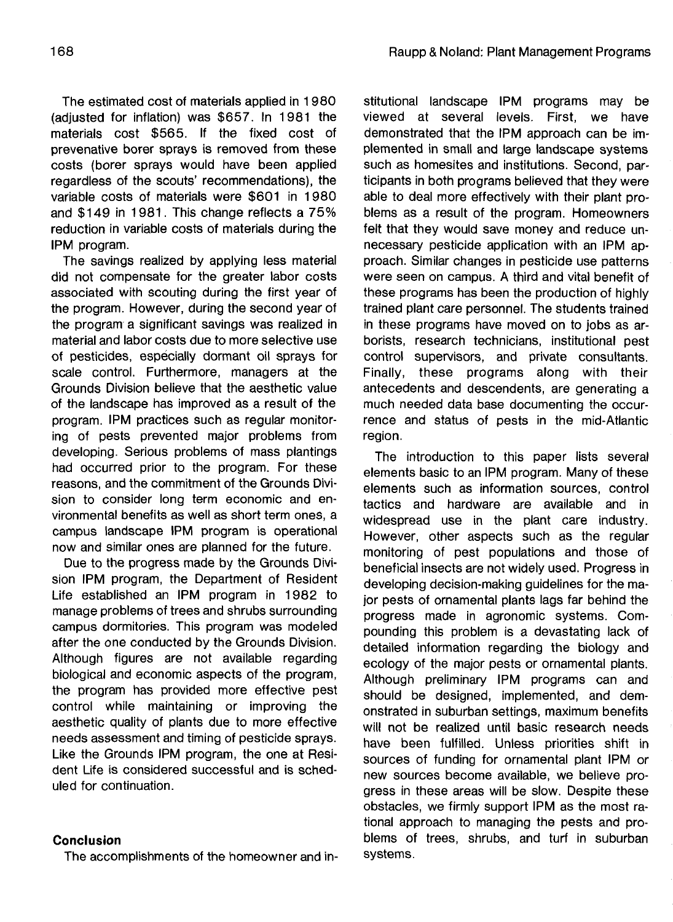The estimated cost of materials applied in 1980 (adjusted for inflation) was \$657. In 1981 the materials cost \$565. If the fixed cost of prevenative borer sprays is removed from these costs (borer sprays would have been applied regardless of the scouts' recommendations), the variable costs of materials were \$601 in 1980 and \$149 in 1981. This change reflects a 75% reduction in variable costs of materials during the IPM program.

The savings realized by applying less material did not compensate for the greater labor costs associated with scouting during the first year of the program. However, during the second year of the program a significant savings was realized in material and labor costs due to more selective use of pesticides, especially dormant oil sprays for scale control. Furthermore, managers at the Grounds Division believe that the aesthetic value of the landscape has improved as a result of the program. IPM practices such as regular monitoring of pests prevented major problems from developing. Serious problems of mass plantings had occurred prior to the program. For these reasons, and the commitment of the Grounds Division to consider long term economic and environmental benefits as well as short term ones, a campus landscape IPM program is operational now and similar ones are planned for the future.

Due to the progress made by the Grounds Division IPM program, the Department of Resident Life established an IPM program in 1982 to manage problems of trees and shrubs surrounding campus dormitories. This program was modeled after the one conducted by the Grounds Division. Although figures are not available regarding biological and economic aspects of the program, the program has provided more effective pest control while maintaining or improving the aesthetic quality of plants due to more effective needs assessment and timing of pesticide sprays. Like the Grounds IPM program, the one at Resident Life is considered successful and is scheduled for continuation.

## **Conclusion**

The accomplishments of the homeowner and in-

stitutional landscape IPM programs may be viewed at several levels. First, we have demonstrated that the IPM approach can be implemented in small and large landscape systems such as homesites and institutions. Second, participants in both programs believed that they were able to deal more effectively with their plant problems as a result of the program. Homeowners felt that they would save money and reduce unnecessary pesticide application with an IPM approach. Similar changes in pesticide use patterns were seen on campus. A third and vital benefit of these programs has been the production of highly trained plant care personnel. The students trained in these programs have moved on to jobs as arborists, research technicians, institutional pest control supervisors, and private consultants. Finally, these programs along with their antecedents and descendents, are generating a much needed data base documenting the occurrence and status of pests in the mid-Atlantic region.

The introduction to this paper lists several elements basic to an IPM program. Many of these elements such as information sources, control tactics and hardware are available and in widespread use in the plant care industry. However, other aspects such as the regular monitoring of pest populations and those of beneficial insects are not widely used. Progress in developing decision-making guidelines for the major pests of ornamental plants lags far behind the progress made in agronomic systems. Compounding this problem is a devastating lack of detailed information regarding the biology and ecology of the major pests or ornamental plants. Although preliminary IPM programs can and should be designed, implemented, and demonstrated in suburban settings, maximum benefits will not be realized until basic research needs have been fulfilled. Unless priorities shift in sources of funding for ornamental plant IPM or new sources become available, we believe progress in these areas will be slow. Despite these obstacles, we firmly support IPM as the most rational approach to managing the pests and problems of trees, shrubs, and turf in suburban systems.